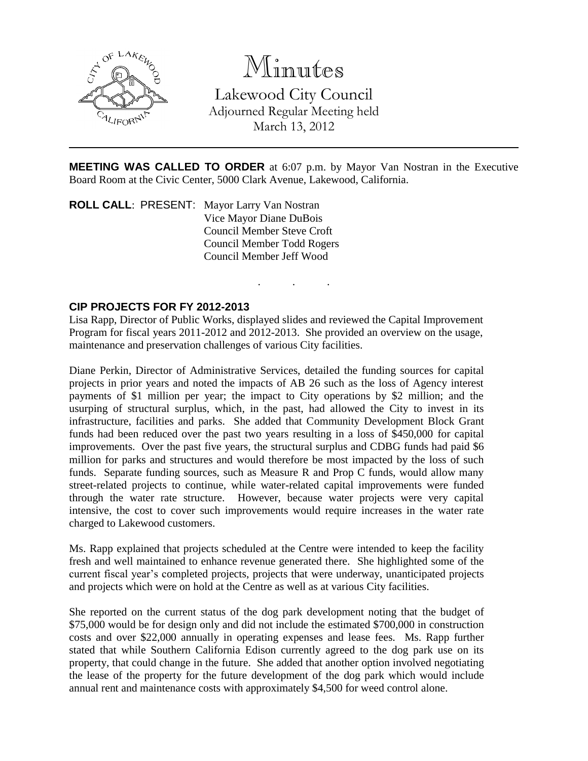

# Minutes

Lakewood City Council Adjourned Regular Meeting held March 13, 2012

**MEETING WAS CALLED TO ORDER** at 6:07 p.m. by Mayor Van Nostran in the Executive Board Room at the Civic Center, 5000 Clark Avenue, Lakewood, California.

. . .

**ROLL CALL**: PRESENT: Mayor Larry Van Nostran Vice Mayor Diane DuBois Council Member Steve Croft Council Member Todd Rogers Council Member Jeff Wood

### **CIP PROJECTS FOR FY 2012-2013**

Lisa Rapp, Director of Public Works, displayed slides and reviewed the Capital Improvement Program for fiscal years 2011-2012 and 2012-2013. She provided an overview on the usage, maintenance and preservation challenges of various City facilities.

Diane Perkin, Director of Administrative Services, detailed the funding sources for capital projects in prior years and noted the impacts of AB 26 such as the loss of Agency interest payments of \$1 million per year; the impact to City operations by \$2 million; and the usurping of structural surplus, which, in the past, had allowed the City to invest in its infrastructure, facilities and parks. She added that Community Development Block Grant funds had been reduced over the past two years resulting in a loss of \$450,000 for capital improvements. Over the past five years, the structural surplus and CDBG funds had paid \$6 million for parks and structures and would therefore be most impacted by the loss of such funds. Separate funding sources, such as Measure R and Prop C funds, would allow many street-related projects to continue, while water-related capital improvements were funded through the water rate structure. However, because water projects were very capital intensive, the cost to cover such improvements would require increases in the water rate charged to Lakewood customers.

Ms. Rapp explained that projects scheduled at the Centre were intended to keep the facility fresh and well maintained to enhance revenue generated there. She highlighted some of the current fiscal year's completed projects, projects that were underway, unanticipated projects and projects which were on hold at the Centre as well as at various City facilities.

She reported on the current status of the dog park development noting that the budget of \$75,000 would be for design only and did not include the estimated \$700,000 in construction costs and over \$22,000 annually in operating expenses and lease fees. Ms. Rapp further stated that while Southern California Edison currently agreed to the dog park use on its property, that could change in the future. She added that another option involved negotiating the lease of the property for the future development of the dog park which would include annual rent and maintenance costs with approximately \$4,500 for weed control alone.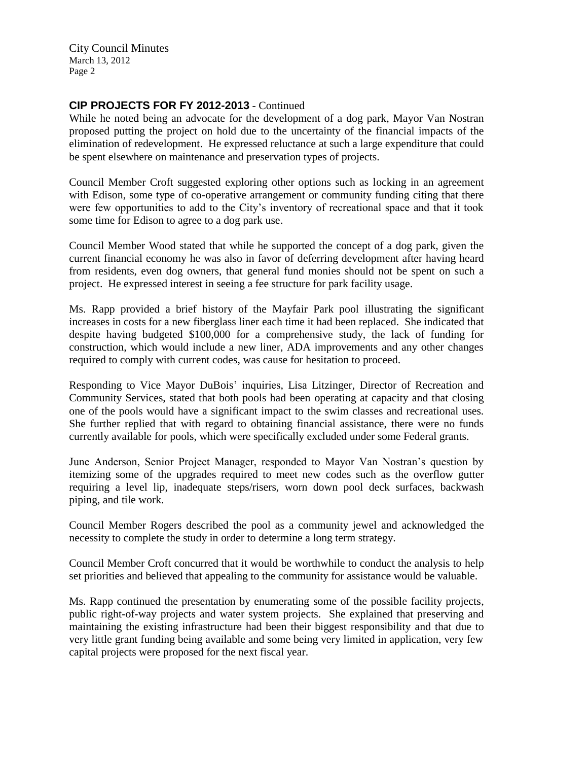City Council Minutes March 13, 2012 Page 2

### **CIP PROJECTS FOR FY 2012-2013** - Continued

While he noted being an advocate for the development of a dog park, Mayor Van Nostran proposed putting the project on hold due to the uncertainty of the financial impacts of the elimination of redevelopment. He expressed reluctance at such a large expenditure that could be spent elsewhere on maintenance and preservation types of projects.

Council Member Croft suggested exploring other options such as locking in an agreement with Edison, some type of co-operative arrangement or community funding citing that there were few opportunities to add to the City's inventory of recreational space and that it took some time for Edison to agree to a dog park use.

Council Member Wood stated that while he supported the concept of a dog park, given the current financial economy he was also in favor of deferring development after having heard from residents, even dog owners, that general fund monies should not be spent on such a project. He expressed interest in seeing a fee structure for park facility usage.

Ms. Rapp provided a brief history of the Mayfair Park pool illustrating the significant increases in costs for a new fiberglass liner each time it had been replaced. She indicated that despite having budgeted \$100,000 for a comprehensive study, the lack of funding for construction, which would include a new liner, ADA improvements and any other changes required to comply with current codes, was cause for hesitation to proceed.

Responding to Vice Mayor DuBois' inquiries, Lisa Litzinger, Director of Recreation and Community Services, stated that both pools had been operating at capacity and that closing one of the pools would have a significant impact to the swim classes and recreational uses. She further replied that with regard to obtaining financial assistance, there were no funds currently available for pools, which were specifically excluded under some Federal grants.

June Anderson, Senior Project Manager, responded to Mayor Van Nostran's question by itemizing some of the upgrades required to meet new codes such as the overflow gutter requiring a level lip, inadequate steps/risers, worn down pool deck surfaces, backwash piping, and tile work.

Council Member Rogers described the pool as a community jewel and acknowledged the necessity to complete the study in order to determine a long term strategy.

Council Member Croft concurred that it would be worthwhile to conduct the analysis to help set priorities and believed that appealing to the community for assistance would be valuable.

Ms. Rapp continued the presentation by enumerating some of the possible facility projects, public right-of-way projects and water system projects. She explained that preserving and maintaining the existing infrastructure had been their biggest responsibility and that due to very little grant funding being available and some being very limited in application, very few capital projects were proposed for the next fiscal year.